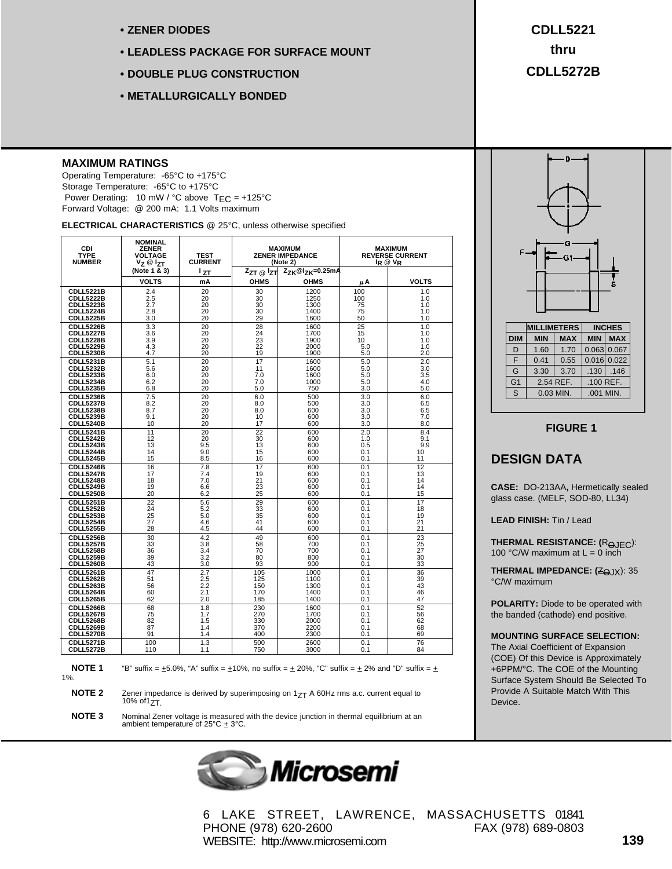- **ZENER DIODES**
- **LEADLESS PACKAGE FOR SURFACE MOUNT**
- **DOUBLE PLUG CONSTRUCTION**
- **METALLURGICALLY BONDED**

#### **MAXIMUM RATINGS**

Operating Temperature: -65°C to +175°C Storage Temperature: -65°C to +175°C Power Derating: 10 mW / °C above  $T_{EC}$  = +125°C Forward Voltage: @ 200 mA: 1.1 Volts maximum

**ELECTRICAL CHARACTERISTICS** @ 25°C, unless otherwise specified

| <b>CDI</b><br><b>TYPE</b><br><b>NUMBER</b> | <b>NOMINAL</b><br><b>ZENER</b><br><b>VOLTAGE</b><br>Vz @ Izt | <b>TEST</b><br><b>CURRENT</b> | <b>MAXIMUM</b><br><b>ZENER IMPEDANCE</b><br>(Note 2)<br>$Z_{ZK}$ @I <sub>ZK</sub> =0.25mA |             | MAXIMUM<br><b>REVERSE CURRENT</b><br>IR @ VR |              |
|--------------------------------------------|--------------------------------------------------------------|-------------------------------|-------------------------------------------------------------------------------------------|-------------|----------------------------------------------|--------------|
|                                            | (Note 1 & 3)<br><b>VOLTS</b>                                 | 1ZT<br>mA                     | $Z_{ZT}$ @ $Z_{TT}$<br><b>OHMS</b>                                                        | <b>OHMS</b> | μA                                           | <b>VOLTS</b> |
| CDLL5221B                                  | 2.4                                                          | 20                            | 30                                                                                        | 1200        | 100                                          | 1.0          |
| CDLL5222B                                  | 2.5                                                          | 20                            | 30                                                                                        | 1250        | 100                                          | 1.0          |
| CDLL5223B                                  | 2.7                                                          | 20                            | 30                                                                                        | 1300        | 75                                           | 1.0          |
| <b>CDLL5224B</b>                           | 2.8                                                          | 20                            | 30                                                                                        | 1400        | 75                                           | 1.0          |
| CDLL5225B                                  | 3.0                                                          | 20                            | 29                                                                                        | 1600        | 50                                           | 1.0          |
| <b>CDLL5226B</b>                           | 3.3                                                          | 20                            | 28                                                                                        | 1600        | 25                                           | 1.0          |
| <b>CDLL5227B</b>                           | 3.6                                                          | 20                            | 24                                                                                        | 1700        | 15                                           | 1.0          |
| <b>CDLL5228B</b>                           | 3.9                                                          | 20                            | 23                                                                                        | 1900        | 10                                           | 1.0          |
| CDLL5229B                                  | 4.3                                                          | 20                            | 22                                                                                        | 2000        | 5.0                                          | 1.0          |
| <b>CDLL5230B</b>                           | 4.7                                                          | 20                            | 19                                                                                        | 1900        | 5.0                                          | 2.0          |
| CDLL5231B                                  | 5.1                                                          | 20                            | 17                                                                                        | 1600        | 5.0                                          | 2.0          |
| <b>CDLL5232B</b>                           | 5.6                                                          | 20                            | 11                                                                                        | 1600        | 5.0                                          | 3.0          |
| <b>CDLL5233B</b>                           | 6.0                                                          | 20                            | 7.0                                                                                       | 1600        | 5.0                                          | 3.5          |
| <b>CDLL5234B</b>                           | 6.2                                                          | 20                            | 7.0                                                                                       | 1000        | 5.0                                          | 4.0          |
| <b>CDLL5235B</b>                           | 6.8                                                          | 20                            | 5.0                                                                                       | 750         | 3.0                                          | 5.0          |
| CDLL5236B                                  | 7.5                                                          | 20                            | 6.0                                                                                       | 500         | 3.0                                          | 6.0          |
| <b>CDLL5237B</b>                           | 8.2                                                          | 20                            | 8.0                                                                                       | 500         | 3.0                                          | 6.5          |
| <b>CDLL5238B</b>                           | 8.7                                                          | 20                            | 8.0                                                                                       | 600         | 3.0                                          | 6.5          |
| <b>CDLL5239B</b>                           | 9.1                                                          | 20                            | 10                                                                                        | 600         | 3.0                                          | 7.0          |
| <b>CDLL5240B</b>                           | 10                                                           | 20                            | 17                                                                                        | 600         | 3.0                                          | 8.0          |
| <b>CDLL5241B</b>                           | 11                                                           | 20                            | $\overline{22}$                                                                           | 600         | 2.0                                          | 8.4          |
| <b>CDLL5242B</b>                           | 12                                                           | 20                            | 30                                                                                        | 600         | 1.0                                          | 9.1          |
| CDLL5243B                                  | 13                                                           | 9.5                           | 13                                                                                        | 600         | 0.5                                          | 9.9          |
| <b>CDLL5244B</b>                           | 14                                                           | 9.0                           | 15                                                                                        | 600         | 0.1                                          | 10           |
| <b>CDLL5245B</b>                           | 15                                                           | 8.5                           | 16                                                                                        | 600         | 0.1                                          | 11           |
| <b>CDLL5246B</b>                           | 16                                                           | 7.8                           | 17                                                                                        | 600         | 0.1                                          | 12           |
| <b>CDLL5247B</b>                           | 17                                                           | 7.4                           | 19                                                                                        | 600         | 0.1                                          | 13           |
| CDLL5248B                                  | 18                                                           | 7.0                           | 21                                                                                        | 600         | 0.1                                          | 14           |
| <b>CDLL5249B</b>                           | 19                                                           | 6.6                           | 23                                                                                        | 600         | 0.1                                          | 14           |
| <b>CDLL5250B</b>                           | 20                                                           | 6.2                           | 25                                                                                        | 600         | 0.1                                          | 15           |
| <b>CDLL5251B</b>                           | $\overline{22}$                                              | 5.6                           | 29                                                                                        | 600         | 0.1                                          | 17           |
| <b>CDLL5252B</b>                           | 24                                                           | 5.2                           | 33                                                                                        | 600         | 0.1                                          | 18           |
| <b>CDLL5253B</b>                           | 25                                                           | 5.0                           | 35                                                                                        | 600         | 0.1                                          | 19           |
| <b>CDLL5254B</b>                           | 27                                                           | 4.6                           | 41                                                                                        | 600         | 0.1                                          | 21           |
| <b>CDLL5255B</b>                           | 28                                                           | 4.5                           | 44                                                                                        | 600         | 0.1                                          | 21           |
| <b>CDLL5256B</b>                           | 30                                                           | 4.2                           | 49                                                                                        | 600         | 0.1                                          | 23           |
| <b>CDLL5257B</b>                           | 33                                                           | 3.8                           | 58                                                                                        | 700         | 0.1                                          | 25           |
| <b>CDLL5258B</b>                           | 36                                                           | 3.4                           | 70                                                                                        | 700         | 0.1                                          | 27           |
| <b>CDLL5259B</b>                           | 39                                                           | 3.2                           | 80                                                                                        | 800         | 0.1                                          | 30           |
| <b>CDLL5260B</b>                           | 43                                                           | 3.0                           | 93                                                                                        | 900         | 0.1                                          | 33           |
| <b>CDLL5261B</b>                           | 47                                                           | 2.7                           | 105                                                                                       | 1000        | 0.1                                          | 36           |
| <b>CDLL5262B</b>                           | 51                                                           | 2.5                           | 125                                                                                       | 1100        | 0.1                                          | 39           |
| <b>CDLL5263B</b>                           | 56                                                           | 2.2                           | 150                                                                                       | 1300        | 0.1                                          | 43           |
| <b>CDLL5264B</b>                           | 60                                                           | 2.1                           | 170                                                                                       | 1400        | 0.1                                          | 46           |
| CDLL5265B                                  | 62                                                           | 2.0                           | 185                                                                                       | 1400        | 0.1                                          | 47           |
| <b>CDLL5266B</b>                           | 68                                                           | 1.8                           | 230                                                                                       | 1600        | 0.1                                          | 52           |
| CDLL5267B                                  | 75                                                           | 1.7                           | 270                                                                                       | 1700        | 0.1                                          | 56           |
| CDLL5268B                                  | 82                                                           | 1.5                           | 330                                                                                       | 2000        | 0.1                                          | 62           |
| CDLL5269B                                  | 87                                                           | 1.4                           | 370                                                                                       | 2200        | 0.1                                          | 68           |
| CDLL5270B                                  | 91                                                           | 1.4                           | 400                                                                                       | 2300        | 0.1                                          | 69           |
| <b>CDLL5271B</b>                           | 100                                                          | 1.3                           | 500                                                                                       | 2600        | 0.1                                          | 76           |
| <b>CDLL5272B</b>                           | 110                                                          | 1.1                           | 750                                                                                       | 3000        | 0.1                                          | 84           |

<sup>1%.</sup> 

**NOTE 1** "B" suffix =  $\pm$ 5.0%, "A" suffix =  $\pm$ 10%, no suffix =  $\pm$  20%, "C" suffix =  $\pm$  2% and "D" suffix =  $\pm$ 

**NOTE 2** Zener impedance is derived by superimposing on 1<sub>ZT</sub> A 60Hz rms a.c. current equal to 10% of 1<sub>ZT</sub>.

**NOTE 3** Nominal Zener voltage is measured with the device junction in thermal equilibrium at an ambient temperature of 25°C  $\pm$  3°C.



**CDLL5221 thru CDLL5272B**



**FIGURE 1**

### **DESIGN DATA**

**CASE:** DO-213AA**,** Hermetically sealed glass case. (MELF, SOD-80, LL34)

**LEAD FINISH:** Tin / Lead

**THERMAL RESISTANCE:** (R<sub>OJEC</sub>): 100 °C/W maximum at  $L = 0$  inch

**THERMAL IMPEDANCE: (ZQJX): 35** °C/W maximum

**POLARITY:** Diode to be operated with the banded (cathode) end positive.

#### **MOUNTING SURFACE SELECTION:**

The Axial Coefficient of Expansion (COE) Of this Device is Approximately +6PPM/°C. The COE of the Mounting Surface System Should Be Selected To Provide A Suitable Match With This Device.

6 LAKE STREET, LAWRENCE, MASSACHUSETTS 01841 PHONE (978) 620-2600 FAX (978) 689-0803 WEBSITE: http://www.microsemi.com

**139**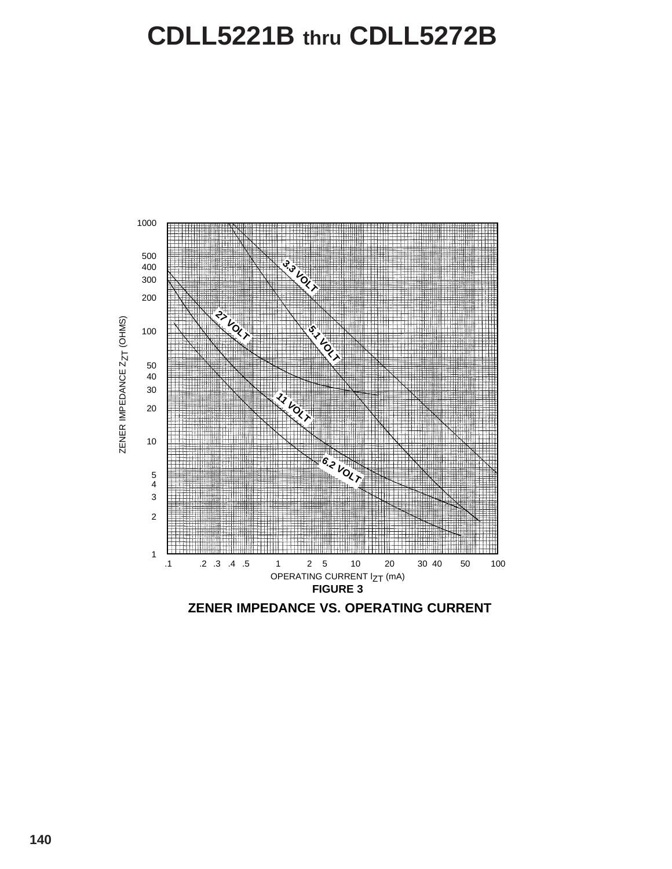# **CDLL5221B thru CDLL5272B**



**ZENER IMPEDANCE VS. OPERATING CURRENT**